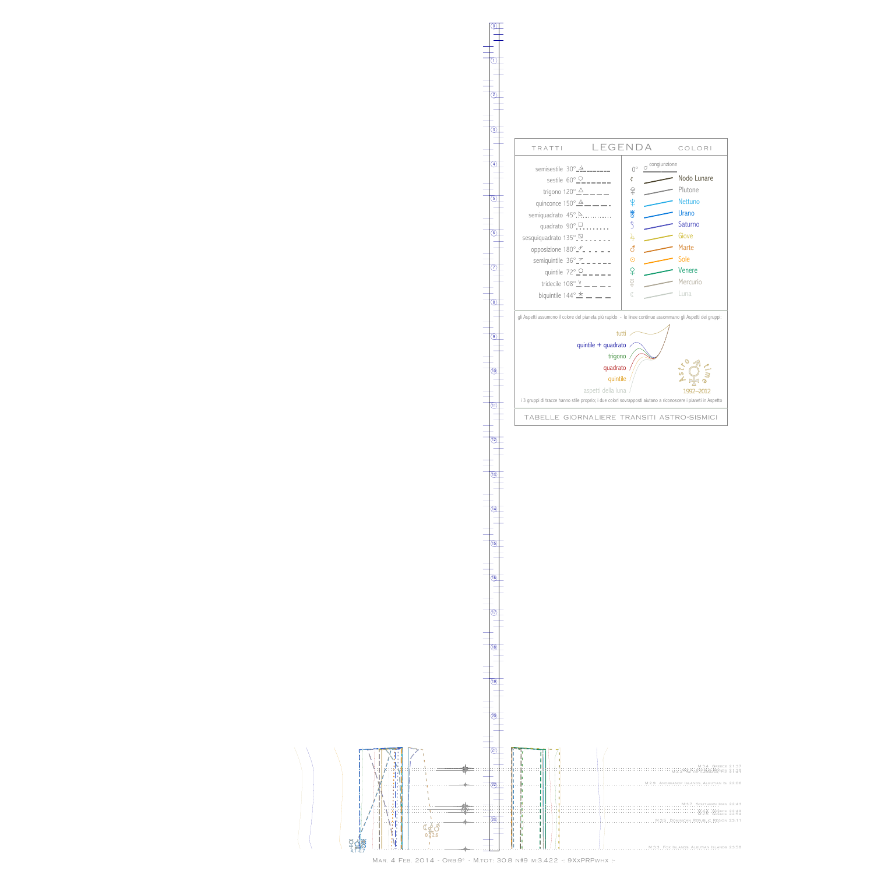BvH